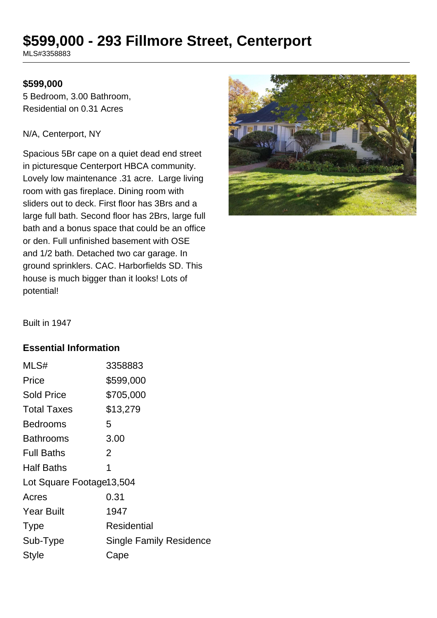# **\$599,000 - 293 Fillmore Street, Centerport**

MLS#3358883

#### **\$599,000**

5 Bedroom, 3.00 Bathroom, Residential on 0.31 Acres

#### N/A, Centerport, NY

Spacious 5Br cape on a quiet dead end street in picturesque Centerport HBCA community. Lovely low maintenance .31 acre. Large living room with gas fireplace. Dining room with sliders out to deck. First floor has 3Brs and a large full bath. Second floor has 2Brs, large full bath and a bonus space that could be an office or den. Full unfinished basement with OSE and 1/2 bath. Detached two car garage. In ground sprinklers. CAC. Harborfields SD. This house is much bigger than it looks! Lots of potential!



Built in 1947

#### **Essential Information**

| MLS#                     | 3358883                        |  |
|--------------------------|--------------------------------|--|
| Price                    | \$599,000                      |  |
| <b>Sold Price</b>        | \$705,000                      |  |
| <b>Total Taxes</b>       | \$13,279                       |  |
| <b>Bedrooms</b>          | 5                              |  |
| Bathrooms                | 3.00                           |  |
| <b>Full Baths</b>        | 2                              |  |
| <b>Half Baths</b>        | 1                              |  |
| Lot Square Footage13,504 |                                |  |
| Acres                    | 0.31                           |  |
| <b>Year Built</b>        | 1947                           |  |
| <b>Type</b>              | Residential                    |  |
| Sub-Type                 | <b>Single Family Residence</b> |  |
| Style                    | Cape                           |  |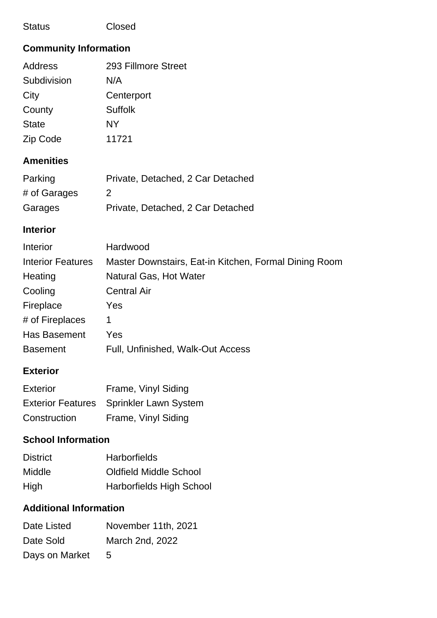#### Status Closed

# **Community Information**

| <b>Address</b> | 293 Fillmore Street |
|----------------|---------------------|
| Subdivision    | N/A                 |
| City           | Centerport          |
| County         | <b>Suffolk</b>      |
| <b>State</b>   | NY                  |
| Zip Code       | 11721               |
|                |                     |

# **Amenities**

| Parking      | Private, Detached, 2 Car Detached |
|--------------|-----------------------------------|
| # of Garages | $\mathcal{P}$                     |
| Garages      | Private, Detached, 2 Car Detached |

### **Interior**

| Interior                 | Hardwood                                              |
|--------------------------|-------------------------------------------------------|
| <b>Interior Features</b> | Master Downstairs, Eat-in Kitchen, Formal Dining Room |
| Heating                  | <b>Natural Gas, Hot Water</b>                         |
| Cooling                  | <b>Central Air</b>                                    |
| Fireplace                | Yes                                                   |
| # of Fireplaces          | 1                                                     |
| <b>Has Basement</b>      | Yes                                                   |
| <b>Basement</b>          | Full, Unfinished, Walk-Out Access                     |

### **Exterior**

| <b>Exterior</b> | Frame, Vinyl Siding                     |
|-----------------|-----------------------------------------|
|                 | Exterior Features Sprinkler Lawn System |
| Construction    | Frame, Vinyl Siding                     |

# **School Information**

| <b>District</b> | <b>Harborfields</b>             |
|-----------------|---------------------------------|
| Middle          | <b>Oldfield Middle School</b>   |
| High            | <b>Harborfields High School</b> |

# **Additional Information**

| Date Listed    | November 11th, 2021 |
|----------------|---------------------|
| Date Sold      | March 2nd, 2022     |
| Days on Market | $\mathcal{L}$       |